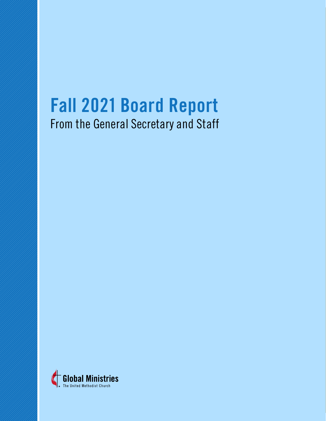# **Fall 2021 Board Report**

From the General Secretary and Staff

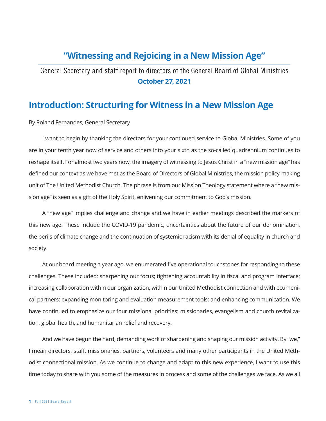## **"Witnessing and Rejoicing in a New Mission Age"**

#### General Secretary and staff report to directors of the General Board of Global Ministries **October 27, 2021**

## **Introduction: Structuring for Witness in a New Mission Age**

By Roland Fernandes, General Secretary

I want to begin by thanking the directors for your continued service to Global Ministries. Some of you are in your tenth year now of service and others into your sixth as the so-called quadrennium continues to reshape itself. For almost two years now, the imagery of witnessing to Jesus Christ in a "new mission age" has defined our context as we have met as the Board of Directors of Global Ministries, the mission policy-making unit of The United Methodist Church. The phrase is from our Mission Theology statement where a "new mission age" is seen as a gift of the Holy Spirit, enlivening our commitment to God's mission.

A "new age" implies challenge and change and we have in earlier meetings described the markers of this new age. These include the COVID-19 pandemic, uncertainties about the future of our denomination, the perils of climate change and the continuation of systemic racism with its denial of equality in church and society.

At our board meeting a year ago, we enumerated five operational touchstones for responding to these challenges. These included: sharpening our focus; tightening accountability in fiscal and program interface; increasing collaboration within our organization, within our United Methodist connection and with ecumenical partners; expanding monitoring and evaluation measurement tools; and enhancing communication. We have continued to emphasize our four missional priorities: missionaries, evangelism and church revitalization, global health, and humanitarian relief and recovery.

And we have begun the hard, demanding work of sharpening and shaping our mission activity. By "we," I mean directors, staff, missionaries, partners, volunteers and many other participants in the United Methodist connectional mission. As we continue to change and adapt to this new experience, I want to use this time today to share with you some of the measures in process and some of the challenges we face. As we all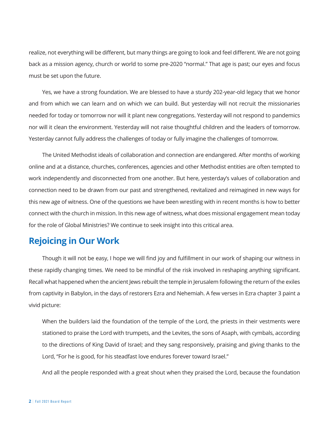realize, not everything will be different, but many things are going to look and feel different. We are not going back as a mission agency, church or world to some pre-2020 "normal." That age is past; our eyes and focus must be set upon the future.

Yes, we have a strong foundation. We are blessed to have a sturdy 202-year-old legacy that we honor and from which we can learn and on which we can build. But yesterday will not recruit the missionaries needed for today or tomorrow nor will it plant new congregations. Yesterday will not respond to pandemics nor will it clean the environment. Yesterday will not raise thoughtful children and the leaders of tomorrow. Yesterday cannot fully address the challenges of today or fully imagine the challenges of tomorrow.

The United Methodist ideals of collaboration and connection are endangered. After months of working online and at a distance, churches, conferences, agencies and other Methodist entities are often tempted to work independently and disconnected from one another. But here, yesterday's values of collaboration and connection need to be drawn from our past and strengthened, revitalized and reimagined in new ways for this new age of witness. One of the questions we have been wrestling with in recent months is how to better connect with the church in mission. In this new age of witness, what does missional engagement mean today for the role of Global Ministries? We continue to seek insight into this critical area.

#### **Rejoicing in Our Work**

Though it will not be easy, I hope we will find joy and fulfillment in our work of shaping our witness in these rapidly changing times. We need to be mindful of the risk involved in reshaping anything significant. Recall what happened when the ancient Jews rebuilt the temple in Jerusalem following the return of the exiles from captivity in Babylon, in the days of restorers Ezra and Nehemiah. A few verses in Ezra chapter 3 paint a vivid picture:

When the builders laid the foundation of the temple of the Lord, the priests in their vestments were stationed to praise the Lord with trumpets, and the Levites, the sons of Asaph, with cymbals, according to the directions of King David of Israel; and they sang responsively, praising and giving thanks to the Lord, "For he is good, for his steadfast love endures forever toward Israel."

And all the people responded with a great shout when they praised the Lord, because the foundation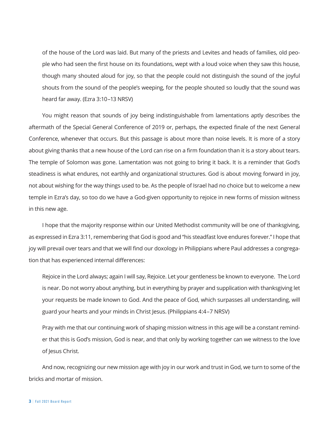of the house of the Lord was laid. But many of the priests and Levites and heads of families, old people who had seen the first house on its foundations, wept with a loud voice when they saw this house, though many shouted aloud for joy, so that the people could not distinguish the sound of the joyful shouts from the sound of the people's weeping, for the people shouted so loudly that the sound was heard far away. (Ezra 3:10–13 NRSV)

You might reason that sounds of joy being indistinguishable from lamentations aptly describes the aftermath of the Special General Conference of 2019 or, perhaps, the expected finale of the next General Conference, whenever that occurs. But this passage is about more than noise levels. It is more of a story about giving thanks that a new house of the Lord can rise on a firm foundation than it is a story about tears. The temple of Solomon was gone. Lamentation was not going to bring it back. It is a reminder that God's steadiness is what endures, not earthly and organizational structures. God is about moving forward in joy, not about wishing for the way things used to be. As the people of Israel had no choice but to welcome a new temple in Ezra's day, so too do we have a God-given opportunity to rejoice in new forms of mission witness in this new age.

I hope that the majority response within our United Methodist community will be one of thanksgiving, as expressed in Ezra 3:11, remembering that God is good and "his steadfast love endures forever." I hope that joy will prevail over tears and that we will find our doxology in Philippians where Paul addresses a congregation that has experienced internal differences:

Rejoice in the Lord always; again I will say, Rejoice. Let your gentleness be known to everyone. The Lord is near. Do not worry about anything, but in everything by prayer and supplication with thanksgiving let your requests be made known to God. And the peace of God, which surpasses all understanding, will guard your hearts and your minds in Christ Jesus. (Philippians 4:4–7 NRSV)

Pray with me that our continuing work of shaping mission witness in this age will be a constant reminder that this is God's mission, God is near, and that only by working together can we witness to the love of Jesus Christ.

And now, recognizing our new mission age with joy in our work and trust in God, we turn to some of the bricks and mortar of mission.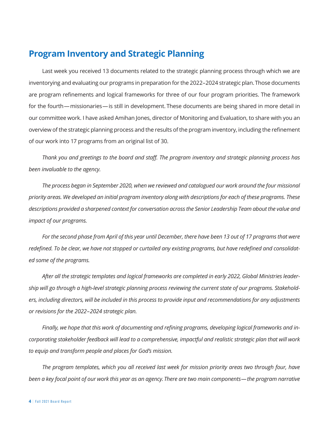## **Program Inventory and Strategic Planning**

Last week you received 13 documents related to the strategic planning process through which we are inventorying and evaluating our programs in preparation for the 2022–2024 strategic plan. Those documents are program refinements and logical frameworks for three of our four program priorities. The framework for the fourth—missionaries—is still in development. These documents are being shared in more detail in our committee work. I have asked Amihan Jones, director of Monitoring and Evaluation, to share with you an overview of the strategic planning process and the results of the program inventory, including the refinement of our work into 17 programs from an original list of 30.

*Thank you and greetings to the board and staff. The program inventory and strategic planning process has been invaluable to the agency.*

*The process began in September 2020, when we reviewed and catalogued our work around the four missional priority areas. We developed an initial program inventory along with descriptions for each of these programs. These descriptions provided a sharpened context for conversation across the Senior Leadership Team about the value and impact of our programs.*

*For the second phase from April of this year until December, there have been 13 out of 17 programs that were redefined. To be clear, we have not stopped or curtailed any existing programs, but have redefined and consolidated some of the programs.* 

*After all the strategic templates and logical frameworks are completed in early 2022, Global Ministries leadership will go through a high-level strategic planning process reviewing the current state of our programs. Stakeholders, including directors, will be included in this process to provide input and recommendations for any adjustments or revisions for the 2022–2024 strategic plan.*

*Finally, we hope that this work of documenting and refining programs, developing logical frameworks and incorporating stakeholder feedback will lead to a comprehensive, impactful and realistic strategic plan that will work to equip and transform people and places for God's mission.* 

*The program templates, which you all received last week for mission priority areas two through four, have been a key focal point of our work this year as an agency. There are two main components—the program narrative*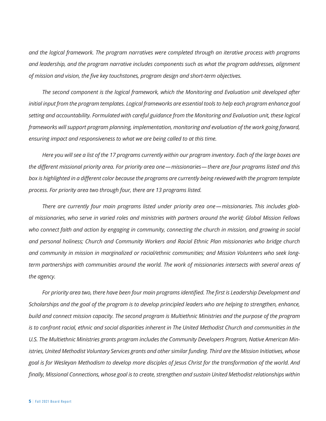*and the logical framework. The program narratives were completed through an iterative process with programs and leadership, and the program narrative includes components such as what the program addresses, alignment of mission and vision, the five key touchstones, program design and short-term objectives.*

*The second component is the logical framework, which the Monitoring and Evaluation unit developed after*  initial input from the program templates. Logical frameworks are essential tools to help each program enhance goal *setting and accountability. Formulated with careful guidance from the Monitoring and Evaluation unit, these logical frameworks will support program planning, implementation, monitoring and evaluation of the work going forward, ensuring impact and responsiveness to what we are being called to at this time.*

*Here you will see a list of the 17 programs currently within our program inventory. Each of the large boxes are the different missional priority area. For priority area one—missionaries—there are four programs listed and this box is highlighted in a different color because the programs are currently being reviewed with the program template process. For priority area two through four, there are 13 programs listed.*

*There are currently four main programs listed under priority area one—missionaries. This includes global missionaries, who serve in varied roles and ministries with partners around the world; Global Mission Fellows*  who connect faith and action by engaging in community, connecting the church in mission, and growing in social *and personal holiness; Church and Community Workers and Racial Ethnic Plan missionaries who bridge church and community in mission in marginalized or racial/ethnic communities; and Mission Volunteers who seek longterm partnerships with communities around the world. The work of missionaries intersects with several areas of the agency.*

*For priority area two, there have been four main programs identified. The first is Leadership Development and Scholarships and the goal of the program is to develop principled leaders who are helping to strengthen, enhance, build and connect mission capacity. The second program is Multiethnic Ministries and the purpose of the program is to confront racial, ethnic and social disparities inherent in The United Methodist Church and communities in the U.S. The Multiethnic Ministries grants program includes the Community Developers Program, Native American Ministries, United Methodist Voluntary Services grants and other similar funding. Third are the Mission Initiatives, whose goal is for Wesleyan Methodism to develop more disciples of Jesus Christ for the transformation of the world. And finally, Missional Connections, whose goal is to create, strengthen and sustain United Methodist relationships within*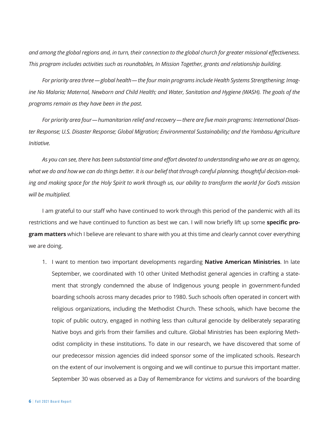*and among the global regions and, in turn, their connection to the global church for greater missional effectiveness. This program includes activities such as roundtables, In Mission Together, grants and relationship building.*

*For priority area three—global health—the four main programs include Health Systems Strengthening; Imagine No Malaria; Maternal, Newborn and Child Health; and Water, Sanitation and Hygiene (WASH). The goals of the programs remain as they have been in the past.*

*For priority area four—humanitarian relief and recovery—there are five main programs: International Disaster Response; U.S. Disaster Response; Global Migration; Environmental Sustainability; and the Yambasu Agriculture Initiative.*

*As you can see, there has been substantial time and effort devoted to understanding who we are as an agency, what we do and how we can do things better. It is our belief that through careful planning, thoughtful decision-making and making space for the Holy Spirit to work through us, our ability to transform the world for God's mission will be multiplied.*

I am grateful to our staff who have continued to work through this period of the pandemic with all its restrictions and we have continued to function as best we can. I will now briefly lift up some **specific program matters** which I believe are relevant to share with you at this time and clearly cannot cover everything we are doing.

1. I want to mention two important developments regarding **Native American Ministries**. In late September, we coordinated with 10 other United Methodist general agencies in crafting a statement that strongly condemned the abuse of Indigenous young people in government-funded boarding schools across many decades prior to 1980. Such schools often operated in concert with religious organizations, including the Methodist Church. These schools, which have become the topic of public outcry, engaged in nothing less than cultural genocide by deliberately separating Native boys and girls from their families and culture. Global Ministries has been exploring Methodist complicity in these institutions. To date in our research, we have discovered that some of our predecessor mission agencies did indeed sponsor some of the implicated schools. Research on the extent of our involvement is ongoing and we will continue to pursue this important matter. September 30 was observed as a Day of Remembrance for victims and survivors of the boarding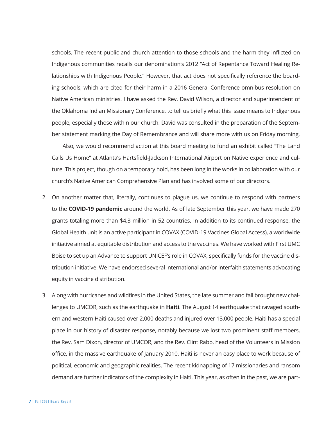schools. The recent public and church attention to those schools and the harm they inflicted on Indigenous communities recalls our denomination's 2012 "Act of Repentance Toward Healing Relationships with Indigenous People." However, that act does not specifically reference the boarding schools, which are cited for their harm in a 2016 General Conference omnibus resolution on Native American ministries. I have asked the Rev. David Wilson, a director and superintendent of the Oklahoma Indian Missionary Conference, to tell us briefly what this issue means to Indigenous people, especially those within our church. David was consulted in the preparation of the September statement marking the Day of Remembrance and will share more with us on Friday morning.

Also, we would recommend action at this board meeting to fund an exhibit called "The Land Calls Us Home" at Atlanta's Hartsfield-Jackson International Airport on Native experience and culture. This project, though on a temporary hold, has been long in the works in collaboration with our church's Native American Comprehensive Plan and has involved some of our directors.

- 2. On another matter that, literally, continues to plague us, we continue to respond with partners to the **COVID-19 pandemic** around the world. As of late September this year, we have made 270 grants totaling more than \$4.3 million in 52 countries. In addition to its continued response, the Global Health unit is an active participant in COVAX (COVID-19 Vaccines Global Access), a worldwide initiative aimed at equitable distribution and access to the vaccines. We have worked with First UMC Boise to set up an Advance to support UNICEF's role in COVAX, specifically funds for the vaccine distribution initiative. We have endorsed several international and/or interfaith statements advocating equity in vaccine distribution.
- 3. Along with hurricanes and wildfires in the United States, the late summer and fall brought new challenges to UMCOR, such as the earthquake in **Haiti**. The August 14 earthquake that ravaged southern and western Haiti caused over 2,000 deaths and injured over 13,000 people. Haiti has a special place in our history of disaster response, notably because we lost two prominent staff members, the Rev. Sam Dixon, director of UMCOR, and the Rev. Clint Rabb, head of the Volunteers in Mission office, in the massive earthquake of January 2010. Haiti is never an easy place to work because of political, economic and geographic realities. The recent kidnapping of 17 missionaries and ransom demand are further indicators of the complexity in Haiti. This year, as often in the past, we are part-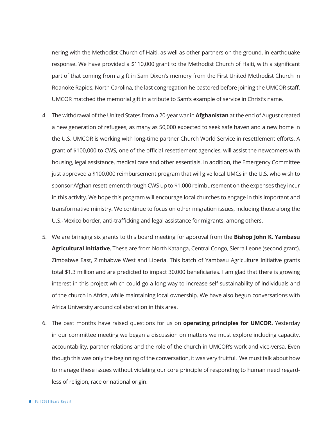nering with the Methodist Church of Haiti, as well as other partners on the ground, in earthquake response. We have provided a \$110,000 grant to the Methodist Church of Haiti, with a significant part of that coming from a gift in Sam Dixon's memory from the First United Methodist Church in Roanoke Rapids, North Carolina, the last congregation he pastored before joining the UMCOR staff. UMCOR matched the memorial gift in a tribute to Sam's example of service in Christ's name.

- 4. The withdrawal of the United States from a 20-year war in **Afghanistan** at the end of August created a new generation of refugees, as many as 50,000 expected to seek safe haven and a new home in the U.S. UMCOR is working with long-time partner Church World Service in resettlement efforts. A grant of \$100,000 to CWS, one of the official resettlement agencies, will assist the newcomers with housing, legal assistance, medical care and other essentials. In addition, the Emergency Committee just approved a \$100,000 reimbursement program that will give local UMCs in the U.S. who wish to sponsor Afghan resettlement through CWS up to \$1,000 reimbursement on the expenses they incur in this activity. We hope this program will encourage local churches to engage in this important and transformative ministry. We continue to focus on other migration issues, including those along the U.S.-Mexico border, anti-trafficking and legal assistance for migrants, among others.
- 5. We are bringing six grants to this board meeting for approval from the **Bishop John K. Yambasu Agricultural Initiative**. These are from North Katanga, Central Congo, Sierra Leone (second grant), Zimbabwe East, Zimbabwe West and Liberia. This batch of Yambasu Agriculture Initiative grants total \$1.3 million and are predicted to impact 30,000 beneficiaries. I am glad that there is growing interest in this project which could go a long way to increase self-sustainability of individuals and of the church in Africa, while maintaining local ownership. We have also begun conversations with Africa University around collaboration in this area.
- 6. The past months have raised questions for us on **operating principles for UMCOR.** Yesterday in our committee meeting we began a discussion on matters we must explore including capacity, accountability, partner relations and the role of the church in UMCOR's work and vice-versa. Even though this was only the beginning of the conversation, it was very fruitful. We must talk about how to manage these issues without violating our core principle of responding to human need regardless of religion, race or national origin.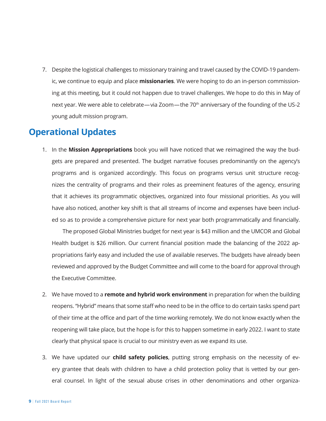7. Despite the logistical challenges to missionary training and travel caused by the COVID-19 pandemic, we continue to equip and place **missionaries**. We were hoping to do an in-person commissioning at this meeting, but it could not happen due to travel challenges. We hope to do this in May of next year. We were able to celebrate—via Zoom—the 70<sup>th</sup> anniversary of the founding of the US-2 young adult mission program.

### **Operational Updates**

1. In the **Mission Appropriations** book you will have noticed that we reimagined the way the budgets are prepared and presented. The budget narrative focuses predominantly on the agency's programs and is organized accordingly. This focus on programs versus unit structure recognizes the centrality of programs and their roles as preeminent features of the agency, ensuring that it achieves its programmatic objectives, organized into four missional priorities. As you will have also noticed, another key shift is that all streams of income and expenses have been included so as to provide a comprehensive picture for next year both programmatically and financially.

The proposed Global Ministries budget for next year is \$43 million and the UMCOR and Global Health budget is \$26 million. Our current financial position made the balancing of the 2022 appropriations fairly easy and included the use of available reserves. The budgets have already been reviewed and approved by the Budget Committee and will come to the board for approval through the Executive Committee.

- 2. We have moved to a **remote and hybrid work environment** in preparation for when the building reopens. "Hybrid" means that some staff who need to be in the office to do certain tasks spend part of their time at the office and part of the time working remotely. We do not know exactly when the reopening will take place, but the hope is for this to happen sometime in early 2022. I want to state clearly that physical space is crucial to our ministry even as we expand its use.
- 3. We have updated our **child safety policies**, putting strong emphasis on the necessity of every grantee that deals with children to have a child protection policy that is vetted by our general counsel. In light of the sexual abuse crises in other denominations and other organiza-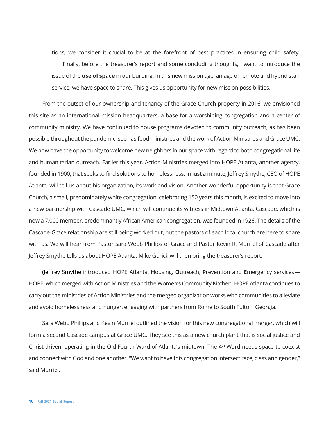tions, we consider it crucial to be at the forefront of best practices in ensuring child safety. Finally, before the treasurer's report and some concluding thoughts, I want to introduce the issue of the **use of space** in our building. In this new mission age, an age of remote and hybrid staff service, we have space to share. This gives us opportunity for new mission possibilities.

From the outset of our ownership and tenancy of the Grace Church property in 2016, we envisioned this site as an international mission headquarters, a base for a worshiping congregation and a center of community ministry. We have continued to house programs devoted to community outreach, as has been possible throughout the pandemic, such as food ministries and the work of Action Ministries and Grace UMC. We now have the opportunity to welcome new neighbors in our space with regard to both congregational life and humanitarian outreach. Earlier this year, Action Ministries merged into HOPE Atlanta, another agency, founded in 1900, that seeks to find solutions to homelessness. In just a minute, Jeffrey Smythe, CEO of HOPE Atlanta, will tell us about his organization, its work and vision. Another wonderful opportunity is that Grace Church, a small, predominately white congregation, celebrating 150 years this month, is excited to move into a new partnership with Cascade UMC, which will continue its witness in Midtown Atlanta. Cascade, which is now a 7,000 member, predominantly African American congregation, was founded in 1926. The details of the Cascade-Grace relationship are still being worked out, but the pastors of each local church are here to share with us. We will hear from Pastor Sara Webb Phillips of Grace and Pastor Kevin R. Murriel of Cascade after Jeffrey Smythe tells us about HOPE Atlanta. Mike Gurick will then bring the treasurer's report.

(Jeffrey Smythe introduced HOPE Atlanta, **H**ousing, **O**utreach, **P**revention and **E**mergency services— HOPE, which merged with Action Ministries and the Women's Community Kitchen. HOPE Atlanta continues to carry out the ministries of Action Ministries and the merged organization works with communities to alleviate and avoid homelessness and hunger, engaging with partners from Rome to South Fulton, Georgia.

Sara Webb Phillips and Kevin Murriel outlined the vision for this new congregational merger, which will form a second Cascade campus at Grace UMC. They see this as a new church plant that is social justice and Christ driven, operating in the Old Fourth Ward of Atlanta's midtown. The 4th Ward needs space to coexist and connect with God and one another. "We want to have this congregation intersect race, class and gender," said Murriel.